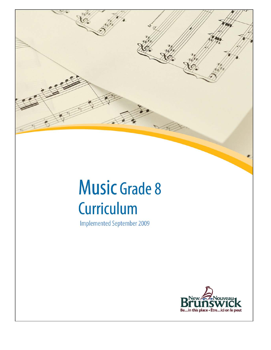

# **Music Grade 8** Curriculum

**Implemented September 2009** 

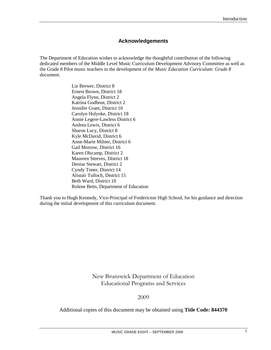# **Acknowledgements**

The Department of Education wishes to acknowledge the thoughtful contribution of the following dedicated members of the Middle Level Music Curriculum Development Advisory Committee as well as the Grade 8 Pilot music teachers in the development of the *Music Education Curriculum: Grade 8* document.

> Liz Brewer, District 8 Ernest Brown, District 18 Angela Flynn, District 2 Katrina Godbout, District 2 Jennifer Grant, District 10 Carolyn Holyoke, District 18 Annie Legere-Lawless District 6 Andrea Lewis, District 6 Sharon Lucy, District 8 Kyle McDavid, District 6 Anne-Marie Milner, District 6 Gail Morrow, District 16 Karen Olscamp, District 2 Maureen Steeves, District 18 Denise Stewart, District 2 Cyndy Toner, District 14 Alistair Tulloch, District 15 Beth Ward, District 10 Rolene Betts, Department of Education

Thank you to Hugh Kennedy, Vice-Principal of Fredericton High School, for his guidance and direction during the initial development of this curriculum document.

> New Brunswick Department of Education Educational Programs and Services

> > 2009

Additional copies of this document may be obtained using **Title Code: 844370**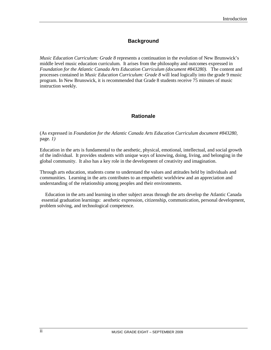# **Background**

*Music Education Curriculum: Grade 8* represents a continuation in the evolution of New Brunswick's middle level music education curriculum. It arises from the philosophy and outcomes expressed in *Foundation for the Atlantic Canada Arts Education Curriculum (document #843280).* The content and processes contained in *Music Education Curriculum: Grade 8* will lead logically into the grade 9 music program. In New Brunswick, it is recommended that Grade 8 students receive 75 minutes of music instruction weekly.

# **Rationale**

(As expressed in *Foundation for the Atlantic Canada Arts Education Curriculum document #843280,*  page*. 1)*

Education in the arts is fundamental to the aesthetic, physical, emotional, intellectual, and social growth of the individual. It provides students with unique ways of knowing, doing, living, and belonging in the global community. It also has a key role in the development of creativity and imagination.

Through arts education, students come to understand the values and attitudes held by individuals and communities. Learning in the arts contributes to an empathetic worldview and an appreciation and understanding of the relationship among peoples and their environments.

Education in the arts and learning in other subject areas through the arts develop the Atlantic Canada essential graduation learnings: aesthetic expression, citizenship, communication, personal development, problem solving, and technological competence.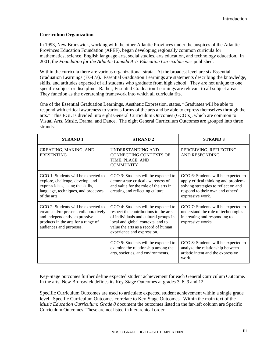#### **Curriculum Organization**

In 1993, New Brunswick, working with the other Atlantic Provinces under the auspices of the Atlantic Provinces Education Foundation (APEF), began developing regionally common curricula for mathematics, science, English language arts, social studies, arts education, and technology education. In 2001, the *Foundation for the Atlantic Canada Arts Education Curriculum* was published.

Within the curricula there are various organizational strata. At the broadest level are six Essential Graduation Learnings (EGL's). Essential Graduation Learnings are statements describing the knowledge, skills, and attitudes expected of all students who graduate from high school. They are not unique to one specific subject or discipline. Rather, Essential Graduation Learnings are relevant to all subject areas. They function as the overarching framework into which all curricula fits.

One of the Essential Graduation Learnings, Aesthetic Expression, states, "Graduates will be able to respond with critical awareness to various forms of the arts and be able to express themselves through the arts." This EGL is divided into eight General Curriculum Outcomes (GCO's), which are common to Visual Arts, Music, Drama, and Dance. The eight General Curriculum Outcomes are grouped into three strands.

| <b>STRAND1</b>                                                                                                                                                                   | <b>STRAND 2</b>                                                                                                                                                                                                                 | <b>STRAND 3</b>                                                                                                                                                             |
|----------------------------------------------------------------------------------------------------------------------------------------------------------------------------------|---------------------------------------------------------------------------------------------------------------------------------------------------------------------------------------------------------------------------------|-----------------------------------------------------------------------------------------------------------------------------------------------------------------------------|
| CREATING, MAKING, AND<br><b>PRESENTING</b>                                                                                                                                       | <b>UNDERSTANDING AND</b><br>CONNECTING CONTEXTS OF<br>TIME, PLACE, AND<br><b>COMMUNITY</b>                                                                                                                                      | PERCEIVING, REFLECTING,<br><b>AND RESPONDING</b>                                                                                                                            |
| GCO 1: Students will be expected to<br>explore, challenge, develop, and<br>express ideas, using the skills,<br>language, techniques, and processes<br>of the arts.               | GCO 3: Students will be expected to<br>demonstrate critical awareness of<br>and value for the role of the arts in<br>creating and reflecting culture.                                                                           | GCO 6: Students will be expected to<br>apply critical thinking and problem-<br>solving strategies to reflect on and<br>respond to their own and others'<br>expressive work. |
| GCO 2: Students will be expected to<br>create and/or present, collaboratively<br>and independently, expressive<br>products in the arts for a range of<br>audiences and purposes. | GCO 4: Students will be expected to<br>respect the contributions to the arts<br>of individuals and cultural groups in<br>local and global contexts, and to<br>value the arts as a record of human<br>experience and expression. | GCO 7: Students will be expected to<br>understand the role of technologies<br>in creating and responding to<br>expressive works.                                            |
|                                                                                                                                                                                  | GCO 5: Students will be expected to<br>examine the relationship among the<br>arts, societies, and environments.                                                                                                                 | GCO 8: Students will be expected to<br>analyze the relationship between<br>artistic intent and the expressive<br>work.                                                      |

Key-Stage outcomes further define expected student achievement for each General Curriculum Outcome. In the arts, New Brunswick defines its Key-Stage Outcomes at grades 3, 6, 9 and 12.

Specific Curriculum Outcomes are used to articulate expected student achievement within a single grade level. Specific Curriculum Outcomes correlate to Key-Stage Outcomes. Within the main text of the *Music Education Curriculum: Grade 8* document the outcomes listed in the far-left column are Specific Curriculum Outcomes. These are not listed in hierarchical order.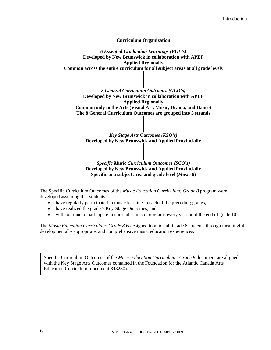**Curriculum Organization**

*6 Essential Graduation Learnings (EGL's)* **Developed by New Brunswick in collaboration with APEF Applied Regionally Common across the entire curriculum for all subject areas at all grade levels**

*8 General Curriculum Outcomes (GCO's)* **Developed by New Brunswick in collaboration with APEF Applied Regionally Common only to the Arts (Visual Art, Music, Drama, and Dance) The 8 General Curriculum Outcomes are grouped into 3 strands**

*Key Stage Arts Outcomes (KSO's)* **Developed by New Brunswick and Applied Provincially**

#### *Specific Music Curriculum Outcomes (SCO's)* **Developed by New Brunswick and Applied Provincially Specific to a subject area and grade level (***Music 8***)**

The Specific Curriculum Outcomes of the *Music Education Curriculum: Grade 8* program were developed assuming that students:

- have regularly participated in music learning in each of the preceding grades,
- have realized the grade 7 Key-Stage Outcomes, and
- will continue to participate in curricular music programs every year until the end of grade 10.

The *Music Education Curriculum: Grade 8* is designed to guide all Grade 8 students through meaningful, developmentally appropriate, and comprehensive music education experiences.

Specific Curriculum Outcomes of the *Music Education Curriculum: Grade 8* document are aligned with the Key Stage Arts Outcomes contained in the Foundation for the Atlantic Canada Arts Education Curriculum (document 843280).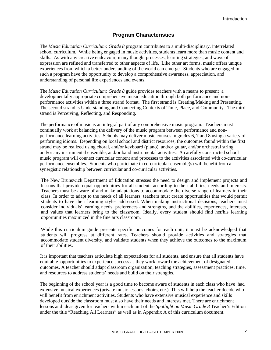# **Program Characteristics**

The *Music Education Curriculum: Grade 8* program contributes to a multi-disciplinary, interrelated school curriculum. While being engaged in music activities, students learn more than music content and skills. As with any creative endeavour, many thought processes, learning strategies, and ways of expression are refined and transferred to other aspects of life. Like other art forms, music offers unique experiences from which a better understanding of the world can emerge. Students who are engaged in such a program have the opportunity to develop a comprehensive awareness, appreciation, and understanding of personal life experiences and events.

The *Music Education Curriculum: Grade 8* guide provides teachers with a means to present a developmentally appropriate comprehensive music education through both performance and nonperformance activities within a three strand format. The first strand is Creating/Making and Presenting. The second strand is Understanding and Connecting Contexts of Time, Place, and Community. The third strand is Perceiving, Reflecting, and Responding.

The performance of music is an integral part of any comprehensive music program. Teachers must continually work at balancing the delivery of the music program between performance and nonperformance learning activities. Schools may deliver music courses in grades 6, 7 and 8 using a variety of performing idioms. Depending on local school and district resources, the outcomes found within the first strand may be realized using choral, and/or keyboard (piano), and/or guitar, and/or orchestral string, and/or any instrumental ensemble, and/or band instrumental activities. A carefully constructed school music program will connect curricular content and processes to the activities associated with co-curricular performance ensembles. Students who participate in co-curricular ensemble(s) will benefit from a synergistic relationship between curricular and co-curricular activities.

The New Brunswick Department of Education stresses the need to design and implement projects and lessons that provide equal opportunities for all students according to their abilities, needs and interests. Teachers must be aware of and make adaptations to accommodate the diverse range of learners in their class. In order to adapt to the needs of all learners, teachers must create opportunities that would permit students to have their learning styles addressed. When making instructional decisions, teachers must consider individuals' learning needs, preferences and strengths, and the abilities, experiences, interests, and values that learners bring to the classroom. Ideally, every student should find her/his learning opportunities maximized in the fine arts classroom.

While this curriculum guide presents specific outcomes for each unit, it must be acknowledged that students will progress at different rates. Teachers should provide activities and strategies that accommodate student diversity, and validate students when they achieve the outcomes to the maximum of their abilities.

It is important that teachers articulate high expectations for all students, and ensure that all students have equitable opportunities to experience success as they work toward the achievement of designated outcomes. A teacher should adapt classroom organization, teaching strategies, assessment practices, time, and resources to address students' needs and build on their strengths.

The beginning of the school year is a good time to become aware of students in each class who have had extensive musical experiences (private music lessons, choirs, etc.). This will help the teacher decide who will benefit from enrichment activities. Students who have extensive musical experience and skills developed outside the classroom must also have their needs and interests met. There are enrichment lessons and ideas given for teachers within each unit of the *Spotlight on Music Grade 8* Teacher's Edition under the title "Reaching All Learners" as well as in Appendix A of this curriculum document.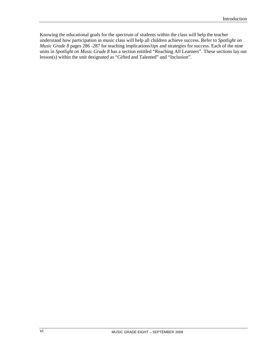Knowing the educational goals for the spectrum of students within the class will help the teacher understand how participation in music class will help all children achieve success. Refer to *Spotlight on Music Grade 8* pages 286 -287 for teaching implications/tips and strategies for success. Each of the nine units in *Spotlight on Music Grade 8* has a section entitled "Reaching All Learners". These sections lay out lesson(s) within the unit designated as "Gifted and Talented" and "Inclusion".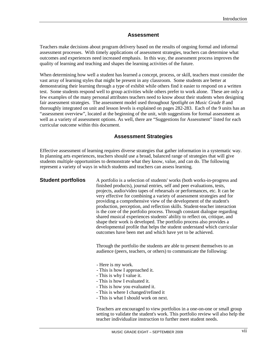# **Assessment**

Teachers make decisions about program delivery based on the results of ongoing formal and informal assessment processes. With timely applications of assessment strategies, teachers can determine what outcomes and experiences need increased emphasis. In this way, the assessment process improves the quality of learning and teaching and shapes the learning activities of the future.

When determining how well a student has learned a concept, process, or skill, teachers must consider the vast array of learning styles that might be present in any classroom. Some students are better at demonstrating their learning through a type of exhibit while others find it easier to respond on a written test. Some students respond well to group activities while others prefer to work alone. These are only a few examples of the many personal attributes teachers need to know about their students when designing fair assessment strategies. The assessment model used throughout *Spotlight on Music Grade 8* and thoroughly integrated on unit and lesson levels is explained on pages 282-283. Each of the 9 units has an "assessment overview", located at the beginning of the unit, with suggestions for formal assessment as well as a variety of assessment options. As well, there are "Suggestions for Assessment" listed for each curricular outcome within this document.

# **Assessment Strategies**

Effective assessment of learning requires diverse strategies that gather information in a systematic way. In planning arts experiences, teachers should use a broad, balanced range of strategies that will give students multiple opportunities to demonstrate what they know, value, and can do. The following represent a variety of ways in which students and teachers can assess learning.

**Student portfolios** A portfolio is a selection of students' works (both works-in-progress and finished products), journal entries, self and peer evaluations, tests, projects, audio/video tapes of rehearsals or performances, etc. It can be very effective for combining a variety of assessment strategies and for providing a comprehensive view of the development of the student's production, perception, and reflection skills. Student-teacher interaction is the core of the portfolio process. Through constant dialogue regarding shared musical experiences students' ability to reflect on, critique, and shape their work is developed. The portfolio process also provides a developmental profile that helps the student understand which curricular outcomes have been met and which have yet to be achieved.

> Through the portfolio the students are able to present themselves to an audience (peers, teachers, or others) to communicate the following:

- Here is my work.
- This is how I approached it.
- This is why I value it.
- This is how I evaluated it.
- This is how you evaluated it.
- This is where I changed/refined it
- This is what I should work on next.

Teachers are encouraged to view portfolios in a one-on-one or small group setting to validate the student's work. This portfolio review will also help the teacher individualize instruction to further meet student needs.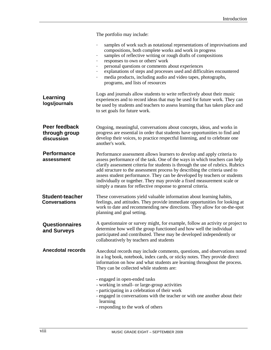The portfolio may include: samples of work such as notational representations of improvisations and compositions, both complete works and work in progress samples of reflective writing or rough drafts of compositions responses to own or others' work personal questions or comments about experiences - explanations of steps and processes used and difficulties encountered media products, including audio and video tapes, photographs, programs, and lists of resources Logs and journals allow students to write reflectively about their music experiences and to record ideas that may be used for future work. They can be used by students and teachers to assess learning that has taken place and to set goals for future work. Ongoing, meaningful, conversations about concepts, ideas, and works in progress are essential in order that students have opportunities to find and develop their voices, to practice respectful listening, and to celebrate one another's work. Performance assessment allows learners to develop and apply criteria to assess performance of the task. One of the ways in which teachers can help clarify assessment criteria for students is through the use of rubrics. Rubrics add structure to the assessment process by describing the criteria used to assess student performance. They can be developed by teachers or students individually or together. They may provide a fixed measurement scale or simply a means for reflective response to general criteria. These conversations yield valuable information about learning habits, feelings, and attitudes. They provide immediate opportunities for looking at work to date and recommending new directions. They allow for on-the-spot planning and goal setting. A questionnaire or survey might, for example, follow an activity or project to determine how well the group functioned and how well the individual participated and contributed. These may be developed independently or collaboratively by teachers and students Anecdotal records may include comments, questions, and observations noted in a log book, notebook, index cards, or sticky notes. They provide direct information on how and what students are learning throughout the process. They can be collected while students are: - engaged in open-ended tasks - working in small- or large-group activities - participating in a celebration of their work - engaged in conversations with the teacher or with one another about their learning **Performance assessment Learning logs/journals Peer feedback through group discussion Student-teacher Conversations Questionnaires and Surveys Anecdotal records**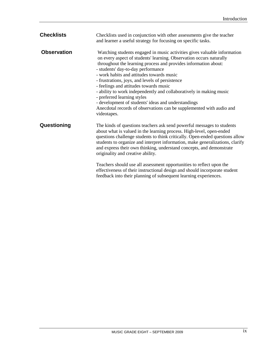| <b>Checklists</b>  | Checklists used in conjunction with other assessments give the teacher<br>and learner a useful strategy for focusing on specific tasks.                                                                                                                                                                                                                                                                                                                                                                                                                                                                                                                |
|--------------------|--------------------------------------------------------------------------------------------------------------------------------------------------------------------------------------------------------------------------------------------------------------------------------------------------------------------------------------------------------------------------------------------------------------------------------------------------------------------------------------------------------------------------------------------------------------------------------------------------------------------------------------------------------|
| <b>Observation</b> | Watching students engaged in music activities gives valuable information<br>on every aspect of students' learning. Observation occurs naturally<br>throughout the learning process and provides information about:<br>- students' day-to-day performance<br>- work habits and attitudes towards music<br>- frustrations, joys, and levels of persistence<br>- feelings and attitudes towards music<br>- ability to work independently and collaboratively in making music<br>- preferred learning styles<br>- development of students' ideas and understandings<br>Anecdotal records of observations can be supplemented with audio and<br>videotapes. |
| Questioning        | The kinds of questions teachers ask send powerful messages to students<br>about what is valued in the learning process. High-level, open-ended<br>questions challenge students to think critically. Open-ended questions allow<br>students to organize and interpret information, make generalizations, clarify<br>and express their own thinking, understand concepts, and demonstrate<br>originality and creative ability.<br>Teachers should use all assessment opportunities to reflect upon the<br>effectiveness of their instructional design and should incorporate student<br>feedback into their planning of subsequent learning experiences. |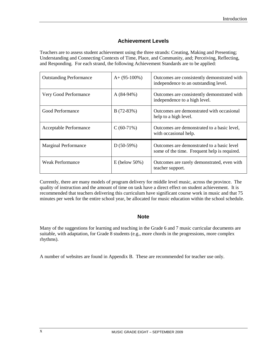# **Achievement Levels**

Teachers are to assess student achievement using the three strands: Creating, Making and Presenting; Understanding and Connecting Contexts of Time, Place, and Community, and; Perceiving, Reflecting, and Responding. For each strand, the following Achievement Standards are to be applied:

| <b>Outstanding Performance</b> | $A+ (95-100\%)$   | Outcomes are consistently demonstrated with<br>independence to an outstanding level.       |
|--------------------------------|-------------------|--------------------------------------------------------------------------------------------|
| Very Good Performance          | $A(84-94%)$       | Outcomes are consistently demonstrated with<br>independence to a high level.               |
| Good Performance               | $B(72-83%)$       | Outcomes are demonstrated with occasional<br>help to a high level.                         |
| Acceptable Performance         | $C(60-71%)$       | Outcomes are demonstrated to a basic level,<br>with occasional help.                       |
| <b>Marginal Performance</b>    | $D(50-59%)$       | Outcomes are demonstrated to a basic level<br>some of the time. Frequent help is required. |
| <b>Weak Performance</b>        | E (below $50\%$ ) | Outcomes are rarely demonstrated, even with<br>teacher support.                            |

Currently, there are many models of program delivery for middle level music, across the province. The quality of instruction and the amount of time on task have a direct effect on student achievement. It is recommended that teachers delivering this curriculum have significant course work in music and that 75 minutes per week for the entire school year, be allocated for music education within the school schedule.

# **Note**

Many of the suggestions for learning and teaching in the Grade 6 and 7 music curricular documents are suitable, with adaptation, for Grade 8 students (e.g., more chords in the progressions, more complex rhythms).

A number of websites are found in Appendix B. These are recommended for teacher use only.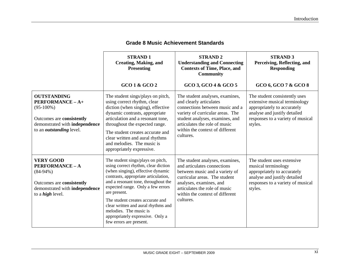|                                                                                                                                                          | <b>STRAND1</b><br><b>Creating, Making, and</b><br><b>Presenting</b>                                                                                                                                                                                                                                                                                                                                                   | <b>STRAND 2</b><br><b>Understanding and Connecting</b><br><b>Contexts of Time, Place, and</b><br><b>Community</b>                                                                                                                                     | <b>STRAND 3</b><br>Perceiving, Reflecting, and<br><b>Responding</b>                                                                                                           |
|----------------------------------------------------------------------------------------------------------------------------------------------------------|-----------------------------------------------------------------------------------------------------------------------------------------------------------------------------------------------------------------------------------------------------------------------------------------------------------------------------------------------------------------------------------------------------------------------|-------------------------------------------------------------------------------------------------------------------------------------------------------------------------------------------------------------------------------------------------------|-------------------------------------------------------------------------------------------------------------------------------------------------------------------------------|
|                                                                                                                                                          | GCO 1 & GCO 2                                                                                                                                                                                                                                                                                                                                                                                                         | GCO 3, GCO 4 & GCO 5                                                                                                                                                                                                                                  | GCO 6, GCO 7 & GCO 8                                                                                                                                                          |
| <b>OUTSTANDING</b><br>PERFORMANCE - A+<br>$(95-100\%)$<br>Outcomes are consistently<br>demonstrated with independence<br>to an <i>outstanding</i> level. | The student sings/plays on pitch,<br>using correct rhythm, clear<br>diction (when singing), effective<br>dynamic contrasts, appropriate<br>articulation and a resonant tone,<br>throughout the expected range.<br>The student creates accurate and<br>clear written and aural rhythms<br>and melodies. The music is<br>appropriately expressive.                                                                      | The student analyses, examines,<br>and clearly articulates<br>connections between music and a<br>variety of curricular areas. The<br>student analyses, examines, and<br>articulates the role of music<br>within the context of different<br>cultures. | The student consistently uses<br>extensive musical terminology<br>appropriately to accurately<br>analyse and justify detailed<br>responses to a variety of musical<br>styles. |
| <b>VERY GOOD</b><br><b>PERFORMANCE - A</b><br>$(84-94\%)$<br>Outcomes are consistently<br>demonstrated with independence<br>to a <i>high</i> level.      | The student sings/plays on pitch,<br>using correct rhythm, clear diction<br>(when singing), effective dynamic<br>contrasts, appropriate articulation,<br>and a resonant tone, throughout the<br>expected range. Only a few errors<br>are present.<br>The student creates accurate and<br>clear written and aural rhythms and<br>melodies. The music is<br>appropriately expressive. Only a<br>few errors are present. | The student analyses, examines,<br>and articulates connections<br>between music and a variety of<br>curricular areas. The student<br>analyses, examines, and<br>articulates the role of music<br>within the context of different<br>cultures.         | The student uses extensive.<br>musical terminology<br>appropriately to accurately<br>analyse and justify detailed<br>responses to a variety of musical<br>styles.             |

# **Grade 8 Music Achievement Standards**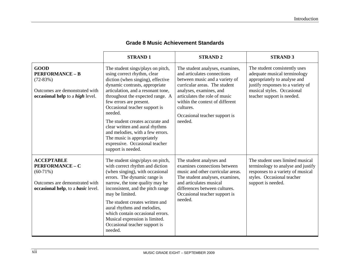|                                                                                                                                          | <b>STRAND1</b>                                                                                                                                                                                                                                                                                                                                                                                                                                                                            | <b>STRAND2</b>                                                                                                                                                                                                                                                                            | <b>STRAND 3</b>                                                                                                                                                                                |
|------------------------------------------------------------------------------------------------------------------------------------------|-------------------------------------------------------------------------------------------------------------------------------------------------------------------------------------------------------------------------------------------------------------------------------------------------------------------------------------------------------------------------------------------------------------------------------------------------------------------------------------------|-------------------------------------------------------------------------------------------------------------------------------------------------------------------------------------------------------------------------------------------------------------------------------------------|------------------------------------------------------------------------------------------------------------------------------------------------------------------------------------------------|
| <b>GOOD</b><br><b>PERFORMANCE - B</b><br>$(72-83%)$<br>Outcomes are demonstrated with<br>occasional help to a <i>high</i> level.         | The student sings/plays on pitch,<br>using correct rhythm, clear<br>diction (when singing), effective<br>dynamic contrasts, appropriate<br>articulation, and a resonant tone,<br>throughout the expected range. A<br>few errors are present.<br>Occasional teacher support is<br>needed.<br>The student creates accurate and<br>clear written and aural rhythms<br>and melodies, with a few errors.<br>The music is appropriately<br>expressive. Occasional teacher<br>support is needed. | The student analyses, examines,<br>and articulates connections<br>between music and a variety of<br>curricular areas. The student<br>analyses, examines, and<br>articulates the role of music<br>within the context of different<br>cultures.<br>Occasional teacher support is<br>needed. | The student consistently uses<br>adequate musical terminology<br>appropriately to analyse and<br>justify responses to a variety of<br>musical styles. Occasional<br>teacher support is needed. |
| <b>ACCEPTABLE</b><br><b>PERFORMANCE - C</b><br>$(60-71%)$<br>Outcomes are demonstrated with<br>occasional help, to a <i>basic</i> level. | The student sings/plays on pitch,<br>with correct rhythm and diction<br>(when singing), with occasional<br>errors. The dynamic range is<br>narrow, the tone quality may be<br>inconsistent, and the pitch range<br>may be limited.<br>The student creates written and<br>aural rhythms and melodies,<br>which contain occasional errors.<br>Musical expression is limited.<br>Occasional teacher support is<br>needed.                                                                    | The student analyses and<br>examines connections between<br>music and other curricular areas.<br>The student analyses, examines,<br>and articulates musical<br>differences between cultures.<br>Occasional teacher support is<br>needed.                                                  | The student uses limited musical<br>terminology to analyse and justify<br>responses to a variety of musical<br>styles. Occasional teacher<br>support is needed.                                |

# **Grade 8 Music Achievement Standards**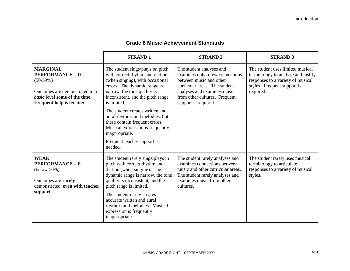|                                                                                                                                                                        | <b>STRAND1</b>                                                                                                                                                                                                                                                                                                                     | <b>STRAND 2</b>                                                                                                                                                                                                 | <b>STRAND 3</b>                                                                                                                                         |
|------------------------------------------------------------------------------------------------------------------------------------------------------------------------|------------------------------------------------------------------------------------------------------------------------------------------------------------------------------------------------------------------------------------------------------------------------------------------------------------------------------------|-----------------------------------------------------------------------------------------------------------------------------------------------------------------------------------------------------------------|---------------------------------------------------------------------------------------------------------------------------------------------------------|
| <b>MARGINAL</b><br><b>PERFORMANCE - D</b><br>$(50-59%)$<br>Outcomes are demonstrated to a<br><i>basic</i> level some of the time.<br><b>Frequent help</b> is required. | The student sings/plays on pitch,<br>with correct rhythm and diction<br>(when singing), with occasional<br>errors. The dynamic range is<br>narrow, the tone quality is<br>inconsistent, and the pitch range<br>is limited.<br>The student creates written and<br>aural rhythms and melodies, but<br>these contain frequent errors. | The student analyses and<br>examines only a few connections<br>between music and other<br>curricular areas. The student<br>analyses and examines music<br>from other cultures. Frequent<br>support is required. | The student uses limited musical<br>terminology to analyze and justify<br>responses to a variety of musical<br>styles. Frequent support is<br>required. |
|                                                                                                                                                                        | Musical expression is frequently<br>inappropriate.<br>Frequent teacher support is<br>needed.                                                                                                                                                                                                                                       |                                                                                                                                                                                                                 |                                                                                                                                                         |
| <b>WEAK</b><br><b>PERFORMANCE - E</b><br>$(below 50\%)$<br>Outcomes are rarely<br>demonstrated, even with teacher<br>support.                                          | The student rarely sings/plays in<br>pitch with correct rhythm and<br>diction (when singing). The<br>dynamic range is narrow, the tone<br>quality is inconsistent, and the<br>pitch range is limited.<br>The student rarely creates<br>accurate written and aural                                                                  | The student rarely analyses and<br>examines connections between<br>music and other curricular areas.<br>The student rarely analyses and<br>examines music from other<br>cultures.                               | The student rarely uses musical<br>terminology to articulate<br>responses to a variety of musical<br>styles.                                            |
|                                                                                                                                                                        | rhythms and melodies. Musical<br>expression is frequently<br>inappropriate.                                                                                                                                                                                                                                                        |                                                                                                                                                                                                                 |                                                                                                                                                         |

# **Grade 8 Music Achievement Standards**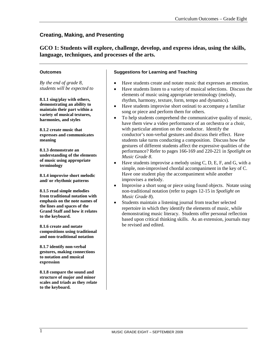**GCO 1: Students will explore, challenge, develop, and express ideas, using the skills, language, techniques, and processes of the arts.**

#### **Outcomes**

*By the end of grade 8, students will be expected to*

**8.1.1 sing/play with others, demonstrating an ability to maintain their part within a variety of musical textures, harmonies, and styles**

**8.1.2 create music that expresses and communicates meaning**

**8.1.3 demonstrate an understanding of the elements of music using appropriate terminology**

**8.1.4 improvise short melodic and/ or rhythmic patterns**

**8.1.5 read simple melodies from traditional notation with emphasis on the note names of the lines and spaces of the Grand Staff and how it relates to the keyboard.**

**8.1.6 create and notate compositions using traditional and non-traditional notation**

**8.1.7 identify non-verbal gestures, making connections to notation and musical expression**

**8.1.8 compare the sound and structure of major and minor scales and triads as they relate to the keyboard.**

## **Suggestions for Learning and Teaching**

- Have students create and notate music that expresses an emotion.
- Have students listen to a variety of musical selections. Discuss the elements of music using appropriate terminology (melody, rhythm, harmony, texture, form, tempo and dynamics).
- Have students improvise short ostinati to accompany a familiar song or piece and perform them for others.
- To help students comprehend the communicative quality of music, have them view a video performance of an orchestra or a choir, with particular attention on the conductor. Identify the conductor's non-verbal gestures and discuss their effect. Have students take turns conducting a composition. Discuss how the gestures of different students affect the expressive qualities of the performance? Refer to pages 166-169 and 220-221 in *Spotlight on Music Grade 8*.
- Have students improvise a melody using  $C$ ,  $D$ ,  $E$ ,  $F$ , and  $G$ , with a simple, non-improvised chordal accompaniment in the key of C. Have one student play the accompaniment while another improvises a melody.
- Improvise a short song or piece using found objects. Notate using non-traditional notation (refer to pages 12-15 in *Spotlight on Music Grade 8*).
- Students maintain a listening journal from teacher selected repertoire in which they identify the elements of music, while demonstrating music literacy. Students offer personal reflection based upon critical thinking skills. As an extension, journals may be revised and edited.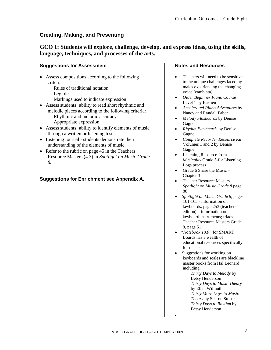| GCO 1: Students will explore, challenge, develop, and express ideas, using the skills, |  |  |  |  |
|----------------------------------------------------------------------------------------|--|--|--|--|
| language, techniques, and processes of the arts.                                       |  |  |  |  |

| <b>Suggestions for Assessment</b>                                                                                                                                                                                                                                                                                                                                                                                                                                                                                                                                                                                                                                                                         | <b>Notes and Resources</b>                                                                                                                                                                                                                                                                                                                                                                                                                                                                                                                                                                                                                                                                                                                                                                                                                                                                                                                                                                                                                                                                                                                                                                                                                                                                                                                               |
|-----------------------------------------------------------------------------------------------------------------------------------------------------------------------------------------------------------------------------------------------------------------------------------------------------------------------------------------------------------------------------------------------------------------------------------------------------------------------------------------------------------------------------------------------------------------------------------------------------------------------------------------------------------------------------------------------------------|----------------------------------------------------------------------------------------------------------------------------------------------------------------------------------------------------------------------------------------------------------------------------------------------------------------------------------------------------------------------------------------------------------------------------------------------------------------------------------------------------------------------------------------------------------------------------------------------------------------------------------------------------------------------------------------------------------------------------------------------------------------------------------------------------------------------------------------------------------------------------------------------------------------------------------------------------------------------------------------------------------------------------------------------------------------------------------------------------------------------------------------------------------------------------------------------------------------------------------------------------------------------------------------------------------------------------------------------------------|
| Assess compositions according to the following<br>criteria:<br>Rules of traditional notation<br>Legible<br>Markings used to indicate expression<br>Assess students' ability to read short rhythmic and<br>melodic pieces according to the following criteria:<br>Rhythmic and melodic accuracy<br>Appropriate expression<br>Assess students' ability to identify elements of music<br>through a written or listening test.<br>• Listening journal - students demonstrate their<br>understanding of the elements of music.<br>Refer to the rubric on page 45 in the Teachers<br>$\bullet$<br>Resource Masters (4.3) in Spotlight on Music Grade<br>8.<br><b>Suggestions for Enrichment see Appendix A.</b> | Teachers will need to be sensitive<br>to the unique challenges faced by<br>males experiencing the changing<br>voice (cambiata)<br>Older Beginner Piano Course<br>$\bullet$<br>Level 1 by Bastien<br>Accelerated Piano Adventures by<br>$\bullet$<br>Nancy and Randall Faber<br>Melody Flashcards by Denise<br>$\bullet$<br>Gagne<br>Rhythm Flashcards by Denise<br>Gagne<br>Complete Recorder Resource Kit<br>٠<br>Volumes 1 and 2 by Denise<br>Gagne<br>Listening Resource from<br>$\bullet$<br>Musicplay Grade 5-for Listening<br>Logs process<br>Grade 6 Share the Music -<br>٠<br>Chapter 3<br>Teacher Resource Masters -<br>$\bullet$<br>Spotlight on Music Grade 8 page<br>88<br>Spotlight on Music Grade 8, pages<br>161-163 - information on<br>keyboards, page 253 (teachers'<br>edition) – information on<br>keyboard instruments; triads.<br>Teacher Resource Masters Grade<br>8, page 51<br>"Notebook 10.0" for SMART<br>Boards has a wealth of<br>educational resources specifically<br>for music<br>Suggestions for working on<br>keyboards and scales are blackline<br>master books from Hal Leonard<br>including:<br>Thirty Days to Melody by<br><b>Betsy Henderson</b><br>Thirty Days to Music Theory<br>by Ellen Wilmuth<br>Thirty More Days to Music<br>Theory by Sharon Stosur<br>Thirty Days to Rhythm by<br><b>Betsy Henderson</b> |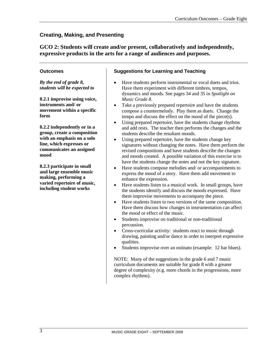# **GCO 2: Students will create and/or present, collaboratively and independently, expressive products in the arts for a range of audiences and purposes.**

#### **Outcomes**

*By the end of grade 8, students will be expected to*

**8.2.1 improvise using voice, instruments and/ or movement within a specific form**

**8.2.2 independently or in a group, create a composition with an emphasis on a solo line, which expresses or communicates an assigned mood** 

**8.2.3 participate in small and large ensemble music making, performing a varied repertoire of music, including student works**

# **Suggestions for Learning and Teaching**

- Have students perform instrumental or vocal duets and trios. Have them experiment with different timbres, tempos, dynamics and moods. See pages 34 and 35 in *Spotlight on Music Grade 8*.
- Take a previously prepared repertoire and have the students compose a countermelody. Play them as duets. Change the tempo and discuss the effect on the mood of the piece(s).
- Using prepared repertoire, have the students change rhythms and add rests. The teacher then performs the changes and the students describe the resultant moods.
- Using prepared repertoire, have the students change key signatures without changing the notes. Have them perform the revised compositions and have students describe the changes and moods created. A possible variation of this exercise is to have the students change the notes and not the key signature.
- Have students compose melodies and/ or accompaniments to express the mood of a story. Have them add movement to enhance the expression.
- Have students listen to a musical work. In small groups, have the students identify and discuss the moods expressed. Have them improvise movements to accompany the piece.
- Have students listen to two versions of the same composition. Have them discuss how changes in instrumentation can affect the mood or effect of the music.
- Students improvise on traditional or non-traditional percussion.
- Cross-curricular activity: students react to music through drawing, painting and/or dance in order to interpret expressive qualities.
- Students improvise over an ostinato (example: 12 bar blues).

NOTE: Many of the suggestions in the grade 6 and 7 music curriculum documents are suitable for grade 8 with a greater degree of complexity (e.g. more chords in the progressions, more complex rhythms).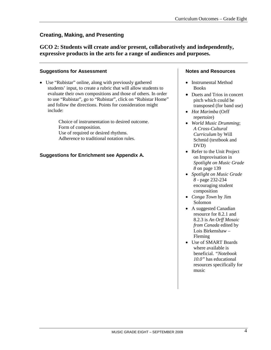# **GCO 2: Students will create and/or present, collaboratively and independently, expressive products in the arts for a range of audiences and purposes.**

## **Suggestions for Assessment**

• Use "Rubistar" online, along with previously gathered students' input, to create a rubric that will allow students to evaluate their own compositions and those of others. In order to use "Rubistar", go to "Rubistar", click on "Rubistar Home" and follow the directions. Points for consideration might include:

> Choice of instrumentation to desired outcome. Form of composition. Use of required or desired rhythms. Adherence to traditional notation rules.

# **Suggestions for Enrichment see Appendix A.**

## **Notes and Resources**

- Instrumental Method Books
- Duets and Trios in concert pitch which could be transposed (for band use)
- *Hot Marimba* (Orff repertoire)
- *World Music Drumming*; *A Cross-Cultural Curriculum* by Will Schmid (textbook and DVD)
- Refer to the Unit Project on Improvisation in *Spotlight on Music Grade 8* on page 139
- *Spotlight on Music Grade 8* - page 232-234 encouraging student composition
- *Conga Town* by Jim Solomon
- A suggested Canadian resource for 8.2.1 and 8.2.3 is *An Orff Mosaic from Canada* edited by Lois Birkenshaw – Fleming
- Use of SMART Boards where available is beneficial. *"Notebook 10.0"* has educational resources specifically for music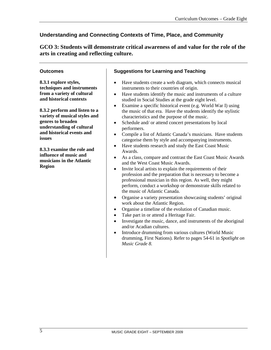**GCO 3: Students will demonstrate critical awareness of and value for the role of the arts in creating and reflecting culture.**

#### **Outcomes**

**8.3.1 explore styles, techniques and instruments from a variety of cultural and historical contexts**

**8.3.2 perform and listen to a variety of musical styles and genres to broaden understanding of cultural and historical events and issues**

**8.3.3 examine the role and influence of music and musicians in the Atlantic Region**

# **Suggestions for Learning and Teaching**

- Have students create a web diagram, which connects musical instruments to their countries of origin.
- Have students identify the music and instruments of a culture studied in Social Studies at the grade eight level.
- Examine a specific historical event (e.g. World War I) using the music of that era. Have the students identify the stylistic characteristics and the purpose of the music.
- Schedule and/ or attend concert presentations by local performers.
- Compile a list of Atlantic Canada's musicians. Have students categorise them by style and accompanying instruments.
- Have students research and study the East Coast Music Awards.
- As a class, compare and contrast the East Coast Music Awards and the West Coast Music Awards.
- Invite local artists to explain the requirements of their profession and the preparation that is necessary to become a professional musician in this region. As well, they might perform, conduct a workshop or demonstrate skills related to the music of Atlantic Canada.
- Organise a variety presentation showcasing students' original work about the Atlantic Region.
- Organise a timeline of the evolution of Canadian music.
- Take part in or attend a Heritage Fair.
- Investigate the music, dance, and instruments of the aboriginal and/or Acadian cultures.
- Introduce drumming from various cultures (World Music drumming, First Nations). Refer to pages 54-61 in *Spotlight on Music Grade 8.*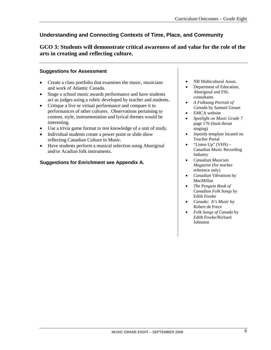**GCO 3: Students will demonstrate critical awareness of and value for the role of the arts in creating and reflecting culture.**

#### **Suggestions for Assessment**

- Create a class portfolio that examines the music, musicians and work of Atlantic Canada.
- Stage a school music awards performance and have students act as judges using a rubric developed by teacher and students.
- Critique a live or virtual performance and compare it to performances of other cultures. Observations pertaining to content, style, instrumentation and lyrical themes would be interesting.
- Use a trivia game format to test knowledge of a unit of study.
- Individual students create a power point or slide show reflecting Canadian Culture in Music.
- Have students perform a musical selection using Aboriginal and/or Acadian folk instruments.

# **Suggestions for Enrichment see Appendix A.**

- NB Multicultural Assoc.
- Department of Education, Aboriginal and FSL consultants
- *A Folksong Portrait of Canada* by Samuel Gesser
- **EMCA** website
- *Spotlight on Music Grade 7* page 176 (Inuit throat singing)
- Jepordy template located on Teacher Portal
- "Listen Up" (VHS) Canadian Music Recording Industry
- *Canadian Musician Magazine* (for teacher reference only)
- *Canadian Vibrations* by MacMillan
- *The Penguin Book of Canadian Folk Songs* by Edith Fowke
- *Canada: It's Music* by Robert de Frece
- *Folk Songs of Canada* by Edith Fowke/Richard Johnston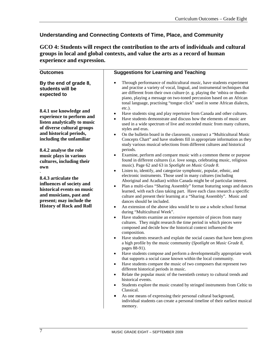**GCO 4: Students will respect the contribution to the arts of individuals and cultural groups in local and global contexts, and value the arts as a record of human experience and expression.**

| <b>Outcomes</b>                                                                                                                                                                                                                                                                               | <b>Suggestions for Learning and Teaching</b>                                                                                                                                                                                                                                                                                                                                                                                                                                                                                                                                                                                                                                                                                                                                                                                                                                                                                                                                                                                                                                                                                                                                                                                                                                                                                                                                                                                                                                                                                                                                                                                                                                                                                                                                                   |  |  |  |
|-----------------------------------------------------------------------------------------------------------------------------------------------------------------------------------------------------------------------------------------------------------------------------------------------|------------------------------------------------------------------------------------------------------------------------------------------------------------------------------------------------------------------------------------------------------------------------------------------------------------------------------------------------------------------------------------------------------------------------------------------------------------------------------------------------------------------------------------------------------------------------------------------------------------------------------------------------------------------------------------------------------------------------------------------------------------------------------------------------------------------------------------------------------------------------------------------------------------------------------------------------------------------------------------------------------------------------------------------------------------------------------------------------------------------------------------------------------------------------------------------------------------------------------------------------------------------------------------------------------------------------------------------------------------------------------------------------------------------------------------------------------------------------------------------------------------------------------------------------------------------------------------------------------------------------------------------------------------------------------------------------------------------------------------------------------------------------------------------------|--|--|--|
| By the end of grade 8,<br>students will be<br>expected to                                                                                                                                                                                                                                     | Through performance of multicultural music, have students experiment<br>and practise a variety of vocal, lingual, and instrumental techniques that<br>are different from their own culture (e. g. playing the 'mbira or thumb-<br>piano, playing a message on two-toned percussion based on an African<br>tonal language, practising "tongue click" used in some African dialects,                                                                                                                                                                                                                                                                                                                                                                                                                                                                                                                                                                                                                                                                                                                                                                                                                                                                                                                                                                                                                                                                                                                                                                                                                                                                                                                                                                                                             |  |  |  |
| 8.4.1 use knowledge and<br>experience to perform and<br>listen analytically to music<br>of diverse cultural groups<br>and historical periods,                                                                                                                                                 | $etc.$ ).<br>Have students sing and play repertoire from Canada and other cultures.<br>٠<br>Have students demonstrate and discuss how the elements of music are<br>used in a wide spectrum of live and recorded music from many cultures,<br>styles and eras.<br>On the bulletin board in the classroom, construct a "Multicultural Music<br>$\bullet$<br>Concepts Chart" and have students fill in appropriate information as they                                                                                                                                                                                                                                                                                                                                                                                                                                                                                                                                                                                                                                                                                                                                                                                                                                                                                                                                                                                                                                                                                                                                                                                                                                                                                                                                                            |  |  |  |
| including the unfamiliar<br>8.4.2 analyse the role<br>music plays in various<br>cultures, including their<br>own<br>8.4.3 articulate the<br>influences of society and<br>historical events on music<br>and musicians, past and<br>present; may include the<br><b>History of Rock and Roll</b> | study various musical selections from different cultures and historical<br>periods.<br>Examine, perform and compare music with a common theme or purpose<br>٠<br>found in different cultures (i.e. love songs, celebrating music, religious<br>music). Page 62 and 63 in Spotlight on Music Grade 8.<br>Listen to, identify, and categorize symphonic, popular, ethnic, and<br>٠<br>electronic instruments. Those used in many cultures (including<br>Aboriginal and Acadian) within Canada might be of particular interest.<br>Plan a multi-class "Sharing Assembly" format featuring songs and dances<br>learned, with each class taking part. Have each class research a specific<br>culture and present their learning at a "Sharing Assembly". Music and<br>dances should be included.<br>An extension of the above idea would be to use a whole school format<br>$\bullet$<br>during "Multicultural Week".<br>Have students examine an extensive repertoire of pieces from many<br>$\bullet$<br>cultures. They might research the time period in which pieces were<br>composed and decide how the historical context influenced the<br>composition.<br>Have students research and explain the social causes that have been given<br>٠<br>a high profile by the music community (Spotlight on Music Grade 8,<br>pages 88-91).<br>Have students compose and perform a developmentally appropriate work<br>٠<br>that supports a social cause known within the local community.<br>Have students compare the music of two composers that represent two<br>different historical periods in music.<br>Relate the popular music of the twentieth century to cultural trends and<br>$\bullet$<br>historical events.<br>Students explore the music created by stringed instruments from Celtic to |  |  |  |
|                                                                                                                                                                                                                                                                                               | Classical.<br>As one means of expressing their personal cultural background,<br>٠<br>individual students can create a personal timeline of their earliest musical<br>memory.                                                                                                                                                                                                                                                                                                                                                                                                                                                                                                                                                                                                                                                                                                                                                                                                                                                                                                                                                                                                                                                                                                                                                                                                                                                                                                                                                                                                                                                                                                                                                                                                                   |  |  |  |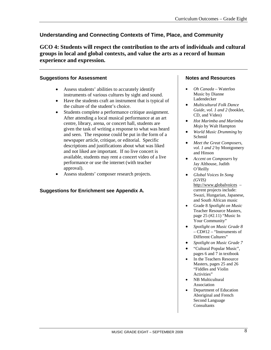**GCO 4: Students will respect the contribution to the arts of individuals and cultural groups in local and global contexts, and value the arts as a record of human experience and expression.**

# **Suggestions for Assessment**

- Assess students' abilities to accurately identify instruments of various cultures by sight and sound.
- Have the students craft an instrument that is typical of the culture of the student's choice.
- Students complete a performance critique assignment. After attending a local musical performance at an art centre, library, arena, or concert hall, students are given the task of writing a response to what was heard and seen. The response could be put in the form of a newspaper article, critique, or editorial. Specific descriptions and justifications about what was liked and not liked are important. If no live concert is available, students may rent a concert video of a live performance or use the internet (with teacher approval).
- Assess students' composer research projects.

# **Suggestions for Enrichment see Appendix A.**

# **Notes and Resources**

- *Oh Canada* Waterloo Music by Dianne Ladendecker
- *Multicultural Folk Dance Guide, vol. 1 and 2* (booklet, CD, and Video)
- *Hot Marimba and Marimba Mojo* by Walt Hampton
- *World Music Drumming* by Schmid
- *Meet the Great Composers, vol. 1 and 2* by Montgomery and Hinson
- *Accent on Composers* by Jay Althouse, Judith O'Reilly
- *Global Voices In Song (GVIS)* [http://www.globalvoices](http://www.globalvoices/) – current projects include: Swazi, Hungarian, Japanese, and South African music
- Grade 8 *Spotlight on Music* Teacher Resource Masters, page 25 (#2.11) "Music In Your Community"
- *Spotlight on Music Grade 8*  – CD#12 – "Instruments of Different Cultures"
- *Spotlight on Music Grade 7*
- "Cultural Popular Music", pages 6 and 7 in textbook
- In the Teachers Resource Masters, pages 25 and 26 "Fiddles and Violin Activities"
- NB Multicultural Association
- Department of Education Aboriginal and French Second Language Consultants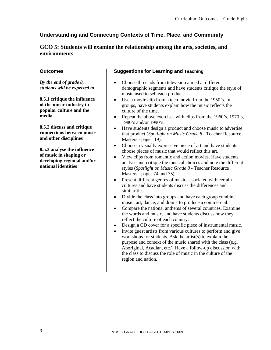**GCO 5: Students will examine the relationship among the arts, societies, and environments.**

#### **Outcomes**

*By the end of grade 8, students will be expected to*

**8.5.1 critique the influence of the music industry in popular culture and the media**

**8.5.2 discuss and critique connections between music and other disciplines**

**8.5.3 analyse the influence of music in shaping or developing regional and/or national identities**

#### **Suggestions for Learning and Teaching**

- Choose three ads from television aimed at different demographic segments and have students critique the style of music used to sell each product.
- Use a movie clip from a teen movie from the 1950's. In groups, have students explain how the music reflects the culture of the time.
- Repeat the above exercises with clips from the 1960's, 1970's, 1980's and/or 1990's.
- Have students design a product and choose music to advertise that product (*Spotlight on Music Grade 8* - Teacher Resource Masters - page 119).
- Choose a visually expressive piece of art and have students choose pieces of music that would reflect this art.
- View clips from romantic and action movies. Have students analyse and critique the musical choices and note the different styles (*Spotlight on Music Grade 8* - Teacher Resource Masters - pages 74 and 75).
- Present different genres of music associated with certain cultures and have students discuss the differences and similarities.
- Divide the class into groups and have each group combine music, art, dance, and drama to produce a commercial.
- Compare the national anthems of several countries. Examine the words and music, and have students discuss how they reflect the culture of each country.
- Design a CD cover for a specific piece of instrumental music.
- Invite guest artists from various cultures to perform and give workshops for students. Ask the artist(s) to explain the purpose and context of the music shared with the class (e.g. Aboriginal, Acadian, etc.). Have a follow-up discussion with the class to discuss the role of music in the culture of the region and nation.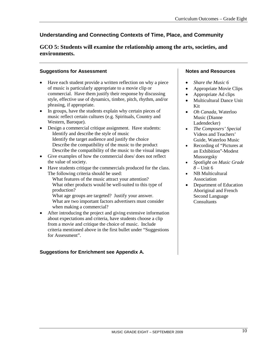# **GCO 5: Students will examine the relationship among the arts, societies, and environments.**

# **Suggestions for Assessment**

- Have each student provide a written reflection on why a piece of music is particularly appropriate to a movie clip or commercial. Have them justify their response by discussing style, effective use of dynamics, timbre, pitch, rhythm, and/or phrasing, if appropriate.
- In groups, have the students explain why certain pieces of music reflect certain cultures (e.g. Spirituals, Country and Western, Baroque).
- Design a commercial critique assignment. Have students: Identify and describe the style of music Identify the target audience and justify the choice Describe the compatibility of the music to the product Describe the compatibility of the music to the visual images
- Give examples of how the commercial does/ does not reflect the value of society.
- Have students critique the commercials produced for the class. The following criteria should be used: What features of the music attract your attention? What other products would be well-suited to this type of production? What age groups are targeted? Justify your answer.
	- What are two important factors advertisers must consider when making a commercial?
- After introducing the project and giving extensive information about expectations and criteria, have students choose a clip from a movie and critique the choice of music. Include criteria mentioned above in the first bullet under "Suggestions for Assessment".

# **Suggestions for Enrichment see Appendix A.**

# **Notes and Resources**

- *Share the Music 6*
- Appropriate Movie Clips
- Appropriate Ad clips
- Multicultural Dance Unit Kit
- *Oh Canada,* Waterloo Music (Dianne Ladendecker)
- *The Composers' Special*  Videos and Teachers' Guide, Waterloo Music
- Recording of "Pictures at an Exhibition"-Modest Mussorgsky
- *Spotlight on Music Grade 8* – Unit 6
- NB Multicultural Association
- Department of Education Aboriginal and French Second Language **Consultants**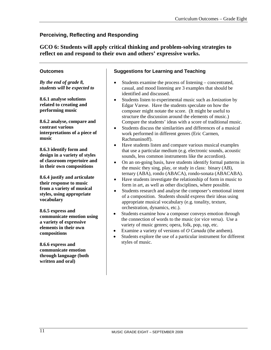# **Perceiving, Reflecting and Responding**

**GCO 6: Students will apply critical thinking and problem-solving strategies to reflect on and respond to their own and others' expressive works.**

# **Outcomes**

*By the end of grade 8, students will be expected to*

**8.6.1 analyse solutions related to creating and performing music** 

**8.6.2 analyse, compare and contrast various interpretations of a piece of music**

**8.6.3 identify form and design in a variety of styles of classroom repertoire and in their own compositions**

**8.6.4 justify and articulate their response to music from a variety of musical styles, using appropriate vocabulary**

**8.6.5 express and communicate emotion using a variety of expressive elements in their own compositions**

**8.6.6 express and communicate emotion through language (both written and oral)**

# **Suggestions for Learning and Teaching**

- Students examine the process of listening concentrated, casual, and mood listening are 3 examples that should be identified and discussed.
- Students listen to experimental music such as *Ionization* by Edgar Varese. Have the students speculate on how the composer might notate the score. (It might be useful to structure the discussion around the elements of music.) Compare the students' ideas with a score of traditional music.
- Students discuss the similarities and differences of a musical work performed in different genres (Eric Carmen, Rachmaninoff).
- Have students listen and compare various musical examples that use a particular medium (e.g. electronic sounds, acoustic sounds, less common instruments like the accordion).
- On an on-going basis, have students identify formal patterns in the music they sing, play, or study in class: binary (AB), ternary (ABA), rondo (ABACA), rondo-sonata (ABACABA).
- Have students investigate the relationship of form in music to form in art, as well as other disciplines, where possible*.*
- Students research and analyse the composer's emotional intent of a composition. Students should express their ideas using appropriate musical vocabulary (e.g. tonality, texture, orchestration, dynamics, etc.).
- Students examine how a composer conveys emotion through the connection of words to the music (or vice versa). Use a variety of music genres; opera, folk, pop, rap, etc.
- Examine a variety of versions of *O Canada* (the anthem).
- Students explore the use of a particular instrument for different styles of music.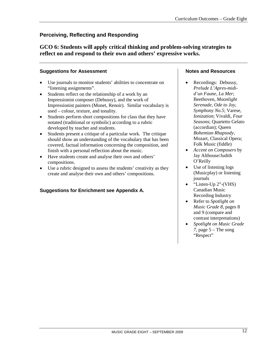# **Perceiving, Reflecting and Responding**

**GCO 6: Students will apply critical thinking and problem-solving strategies to reflect on and respond to their own and others' expressive works.**

# **Suggestions for Assessment**

- Use journals to monitor students' abilities to concentrate on "listening assignments".
- Students reflect on the relationship of a work by an Impressionist composer (Debussy), and the work of Impressionist painters (Monet, Renoir). Similar vocabulary is used – colour, texture, and tonality.
- Students perform short compositions for class that they have notated (traditional or symbolic) according to a rubric developed by teacher and students.
- Students present a critique of a particular work. The critique should show an understanding of the vocabulary that has been covered, factual information concerning the composition, and finish with a personal reflection about the music.
- Have students create and analyse their own and others' compositions.
- Use a rubric designed to assess the students' creativity as they create and analyse their own and others' compositions.

# **Suggestions for Enrichment see Appendix A.**

#### **Notes and Resources**

- Recordings: Debussy, *Prelude L'Apres-midid'un Faune, La Mer*; Beethoven, *Moonlight Serenade, Ode to Joy, Symphony No.5*; Varese, *Ionization*; Vivaldi, *Four Seasons*; Quartetto Gelato (accordian); Queen *Bohemian Rhapsody*, Mozart, Classical Opera; Folk Music (fiddle)
- *Accent on Composers* by Jay Althouse/Judith O'Reilly
- Use of listening logs (Musicplay) or listening journals
- "Listen-Up 2"-(VHS) Canadian Music Recording Industry
- Refer to *Spotlight on Music Grade 8*, pages 8 and 9 (compare and contrast interpretations)
- *Spotlight on Music Grade 7*, page 5 – The song "Respect"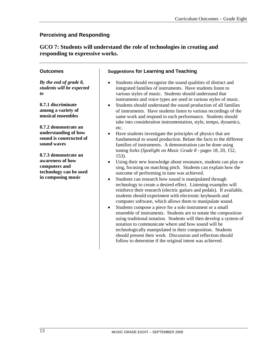# **GCO 7: Students will understand the role of technologies in creating and responding to expressive works.**

#### **Outcomes**

*By the end of grade 8, students will be expected to*

**8.7.1 discriminate among a variety of musical ensembles**

**8.7.2 demonstrate an understanding of how sound is constructed of sound waves**

**8.7.3 demonstrate an awareness of how computers and technology can be used in composing music**

## **Suggestions for Learning and Teaching**

- Students should recognize the sound qualities of distinct and integrated families of instruments. Have students listen to various styles of music. Students should understand that instruments and voice types are used in various styles of music.
- Students should understand the sound production of all families of instruments. Have students listen to various recordings of the same work and respond to each performance. Students should take into consideration instrumentation, style, tempo, dynamics, etc.
- Have students investigate the principles of physics that are fundamental to sound production. Relate the facts to the different families of instruments. A demonstration can be done using tuning forks (*Spotlight on Music Grade 8* - pages 18, 20, 152, 153).
- Using their new knowledge about resonance, students can play or sing, focusing on matching pitch. Students can explain how the outcome of performing in tune was achieved.
- Students can research how sound is manipulated through technology to create a desired effect. Listening examples will reinforce their research (electric guitars and pedals). If available, students should experiment with electronic keyboards and computer software, which allows them to manipulate sound.
- Students compose a piece for a solo instrument or a small ensemble of instruments. Students are to notate the composition using traditional notation. Students will then develop a system of notation to communicate where and how sound will be technologically manipulated in their composition. Students should present their work. Discussion and reflection should follow to determine if the original intent was achieved.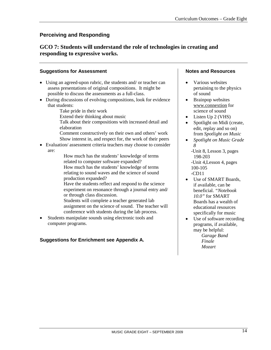# **GCO 7: Students will understand the role of technologies in creating and responding to expressive works.**

## **Suggestions for Assessment**

- Using an agreed-upon rubric, the students and/ or teacher can assess presentations of original compositions. It might be possible to discuss the assessments as a full-class.
- During discussions of evolving compositions, look for evidence that students:
	- Take pride in their work
	- Extend their thinking about music
	- Talk about their compositions with increased detail and elaboration
	- Comment constructively on their own and others' work Show interest in, and respect for, the work of their peers
- Evaluation/ assessment criteria teachers may choose to consider are:
	- How much has the students' knowledge of terms related to computer software expanded? How much has the students' knowledge of terms relating to sound waves and the science of sound production expanded?
	- Have the students reflect and respond to the science experiment on resonance through a journal entry and/ or through class discussion.
	- Students will complete a teacher generated lab assignment on the science of sound. The teacher will conference with students during the lab process.
- Students manipulate sounds using electronic tools and computer programs.

# **Suggestions for Enrichment see Appendix A.**

## **Notes and Resources**

- Various websites pertaining to the physics of sound
- Brainpop websites [www.connextion](http://www.connextion/) for science of sound
- Listen Up 2 (VHS)
- Spotlight on Midi (create, edit, replay and so on) from *Spotlight on Music*
- *Spotlight on Music Grade 8*
	- -Unit 8, Lesson 3, pages 198-203 -Unit 4,Lesson 4, pages 100-105 -CD11
- Use of SMART Boards, if available, can be beneficial. *"Notebook 10.0"* for SMART Boards has a wealth of educational resources specifically for music
- Use of software recording programs, if available, may be helpful: *Garage Band Finale Mozart*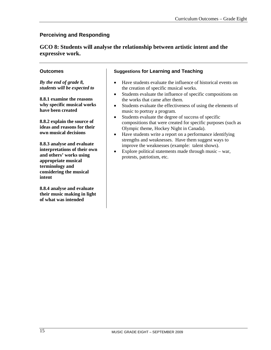**GCO 8: Students will analyse the relationship between artistic intent and the expressive work.**

# **Outcomes**

*By the end of grade 8, students will be expected to*

**8.8.1 examine the reasons why specific musical works have been created**

**8.8.2 explain the source of ideas and reasons for their own musical decisions**

**8.8.3 analyse and evaluate interpretations of their own and others' works using appropriate musical terminology and considering the musical intent**

**8.8.4 analyse and evaluate their music making in light of what was intended**

# **Suggestions for Learning and Teaching**

- Have students evaluate the influence of historical events on the creation of specific musical works.
- Students evaluate the influence of specific compositions on the works that came after them.
- Students evaluate the effectiveness of using the elements of music to portray a program.
- Students evaluate the degree of success of specific compositions that were created for specific purposes (such as Olympic theme, Hockey Night in Canada).
- Have students write a report on a performance identifying strengths and weaknesses. Have them suggest ways to improve the weaknesses (example: talent shows).
- Explore political statements made through music war, protests, patriotism, etc.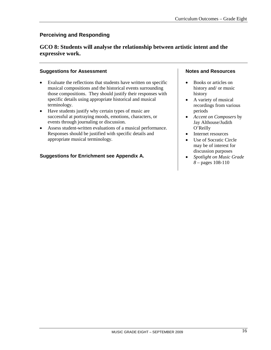# **GCO 8: Students will analyse the relationship between artistic intent and the expressive work.**

#### **Suggestions for Assessment**

- Evaluate the reflections that students have written on specific musical compositions and the historical events surrounding those compositions. They should justify their responses with specific details using appropriate historical and musical terminology.
- Have students justify why certain types of music are successful at portraying moods, emotions, characters, or events through journaling or discussion.
- Assess student-written evaluations of a musical performance. Responses should be justified with specific details and appropriate musical terminology.

# **Suggestions for Enrichment see Appendix A.**

#### **Notes and Resources**

- Books or articles on history and/ or music history
- A variety of musical recordings from various periods
- *Accent on Composers* by Jay Althouse/Judith O'Reilly
- Internet resources
- Use of Socratic Circle may be of interest for discussion purposes
- *Spotlight on Music Grade 8* – pages 108-110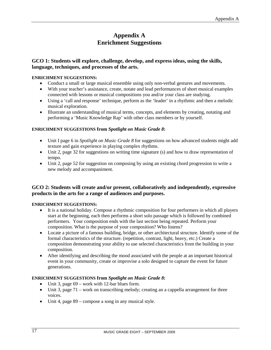# **Appendix A Enrichment Suggestions**

# **GCO 1: Students will explore, challenge, develop, and express ideas, using the skills, language, techniques, and processes of the arts.**

#### **ENRICHMENT SUGGESTIONS:**

- Conduct a small or large musical ensemble using only non-verbal gestures and movements.
- With your teacher's assistance, create, notate and lead performances of short musical examples connected with lessons or musical compositions you and/or your class are studying.
- Using a 'call and response' technique, perform as the 'leader' in a rhythmic and then a melodic musical exploration.
- Illustrate an understanding of musical terms, concepts, and elements by creating, notating and performing a 'Music Knowledge Rap' with other class members or by yourself.

#### **ENRICHMENT SUGGESTIONS from** *Spotlight on Music Grade 8***:**

- Unit I page 6 in *Spotlight on Music Grade 8* for suggestions on how advanced students might add texture and gain experience in playing complex rhythms.
- Unit 2, page 32 for suggestions on writing time signature (s) and how to draw representation of tempo.
- Unit 2, page 52 for suggestion on composing by using an existing chord progression to write a new melody and accompaniment.

# **GCO 2: Students will create and/or present, collaboratively and independently, expressive products in the arts for a range of audiences and purposes.**

#### **ENRICHMENT SUGGESTIONS:**

- It is a national holiday. Compose a rhythmic composition for four performers in which all players start at the beginning, each then performs a short solo passage which is followed by combined performers. Your composition ends with the last section being repeated. Perform your composition. What is the purpose of your composition? Who listens?
- Locate a picture of a famous building, bridge, or other architectural structure. Identify some of the formal characteristics of the structure. (repetition, contrast, light, heavy, etc.) Create a composition demonstrating your ability to use selected characteristics from the building in your composition.
- After identifying and describing the mood associated with the people at an important historical event in your community, create or improvise a solo designed to capture the event for future generations.

#### **ENRICHMENT SUGGESTIONS from** *Spotlight on Music Grade 8***:**

- Unit 3, page  $69$  work with 12-bar blues form.
- Unit 3, page 71 work on transcribing melody; creating an a cappella arrangement for three voices.
- Unit 4, page 89 compose a song in any musical style.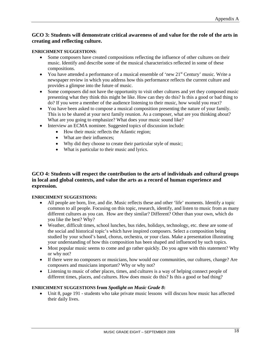#### **GCO 3: Students will demonstrate critical awareness of and value for the role of the arts in creating and reflecting culture.**

#### **ENRICHMENT SUGGESTIONS**:

- Some composers have created compositions reflecting the influence of other cultures on their music. Identify and describe some of the musical characteristics reflected in some of these compositions.
- You have attended a performance of a musical ensemble of 'new  $21<sup>st</sup>$  Century' music. Write a newspaper review in which you address how this performance reflects the current culture and provides a glimpse into the future of music.
- Some composers did not have the opportunity to visit other cultures and yet they composed music presenting what they think this might be like. How can they do this? Is this a good or bad thing to do? If you were a member of the audience listening to their music, how would you react?
- You have been asked to compose a musical composition presenting the nature of your family. This is to be shared at your next family reunion. As a composer, what are you thinking about? What are you going to emphasize? What does your music sound like?
- Interview an ECMA nominee. Suggested topics of discussion include:
	- How their music reflects the Atlantic region;
	- What are their influences:
	- Why did they choose to create their particular style of music;
	- What is particular to their music and lyrics.

#### **GCO 4: Students will respect the contribution to the arts of individuals and cultural groups in local and global contexts, and value the arts as a record of human experience and expression.**

#### **ENRICHMENT SUGGESTIONS:**

- All people are born, live, and die. Music reflects these and other 'life' moments. Identify a topic common to all people. Focusing on this topic, research, identify, and listen to music from as many different cultures as you can. How are they similar? Different? Other than your own, which do you like the best? Why?
- Weather, difficult times, school lunches, bus rides, holidays, technology, etc. these are some of the social and historical topic's which have inspired composers. Select a composition being studied by your school's band, chorus, orchestra, or your class. Make a presentation illustrating your understanding of how this composition has been shaped and influenced by such topics.
- Most popular music seems to come and go rather quickly. Do you agree with this statement? Why or why not?
- If there were no composers or musicians, how would our communities, our cultures, change? Are composers and musicians important? Why or why not?
- Listening to music of other places, times, and cultures is a way of helping connect people of different times, places, and cultures. How does music do this? Is this a good or bad thing?

#### **ENRICHMENT SUGGESTIONS from** *Spotlight on Music Grade 8***:**

• Unit 8, page 191 - students who take private music lessons will discuss how music has affected their daily lives.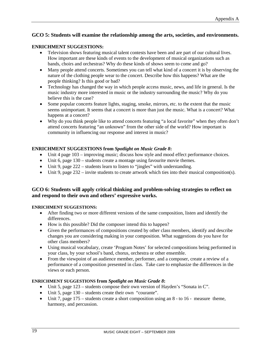### **GCO 5: Students will examine the relationship among the arts, societies, and environments.**

#### **ENRICHMENT SUGGESTIONS:**

- Television shows featuring musical talent contests have been and are part of our cultural lives. How important are these kinds of events to the development of musical organizations such as bands, choirs and orchestras? Why do these kinds of shows seem to come and go?
- Many people attend concerts. Sometimes you can tell what kind of a concert it is by observing the nature of the clothing people wear to the concert. Describe how this happens? What are the people thinking? Is this good or bad?
- Technology has changed the way in which people access music, news, and life in general. Is the music industry more interested in music or the industry surrounding the music? Why do you believe this is the case?
- Some popular concerts feature lights, staging, smoke, mirrors, etc. to the extent that the music seems unimportant. It seems that a concert is more than just the music. What is a concert? What happens at a concert?
- Why do you think people like to attend concerts featuring "a local favorite" when they often don't attend concerts featuring "an unknown" from the other side of the world? How important is community in influencing our response and interest in music?

#### **ENRICHMENT SUGGESTIONS from** *Spotlight on Music Grade 8***:**

- Unit 4 page 103 improving music; discuss how style and mood effect performance choices.
- Unit 6, page  $130 -$  students create a montage using favourite movie themes.
- Unit 9, page 222 students learn to listen to "jingles" with understanding.
- Unit 9, page  $232 -$  invite students to create artwork which ties into their musical composition(s).

# **GCO 6: Students will apply critical thinking and problem-solving strategies to reflect on and respond to their own and others' expressive works.**

#### **ENRICHMENT SUGGESTIONS:**

- After finding two or more different versions of the same composition, listen and identify the differences.
- How is this possible? Did the composer intend this to happen?
- Given the performances of compositions created by other class members, identify and describe changes you are considering making in your composition. What suggestions do you have for other class members?
- Using musical vocabulary, create 'Program Notes' for selected compositions being performed in your class, by your school's band, chorus, orchestra or other ensemble.
- From the viewpoint of an audience member, performer, and a composer, create a review of a performance of a composition presented in class. Take care to emphasize the differences in the views or each person.

#### **ENRICHMENT SUGGESTIONS from** *Spotlight on Music Grade 8***:**

- Unit 5, page 123 students compose their own version of Hayden's "Sonata in C".
- Unit 5, page 130 students create their own "courante".
- Unit 7, page  $175 -$  students create a short composition using an  $8 -$  to  $16 -$  measure theme, harmony, and percussion.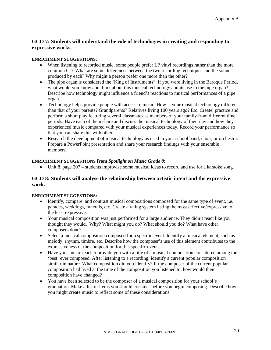# **GCO 7: Students will understand the role of technologies in creating and responding to expressive works.**

#### **ENRICHMENT SUGGESTIONS:**

- When listening to recorded music, some people prefer LP vinyl recordings rather than the more common CD. What are some differences between the two recording techniques and the sound produced by each? Why might a person prefer one more than the other?
- The pipe organ is considered the 'King of Instruments". If you were living in the Baroque Period, what would you know and think about this musical technology and its use in the pipe organ? Describe how technology might influence a friend's reactions to musical performances of a pipe organ.
- Technology helps provide people with access to music. How is your musical technology different than that of your parents? Grandparents? Relatives living 100 years ago? Etc. Create, practice and perform a short play featuring several classmates as members of your family from different time periods. Have each of them share and discuss the musical technology of their day and how they experienced music compared with your musical experiences today. Record your performance so that you can share this with others.
- Research the development of musical technology as used in your school band, choir, or orchestra. Prepare a PowerPoint presentation and share your research findings with your ensemble members.

#### **ENRICHMENT SUGGESTIONS from** *Spotlight on Music Grade 8***:**

• Unit 8, page 207 – students improvise some musical ideas to record and use for a karaoke song.

#### **GCO 8: Students will analyse the relationship between artistic intent and the expressive work.**

#### **ENRICHMENT SUGGESTIONS:**

- Identify, compare, and contrast musical compositions composed for the same type of event, i.e. parades, weddings, funerals, etc. Create a rating system listing the most effective/expressive to the least expressive.
- Your musical composition was just performed for a large audience. They didn't react like you thought they would. Why? What might you do? What should you do? What have other composers done?
- Select a musical composition composed for a specific event. Identify a musical element, such as melody, rhythm, timbre, etc. Describe how the composer's use of this element contributes to the expressiveness of the composition for this specific event.
- Have your music teacher provide you with a title of a musical composition considered among the 'best' ever composed. After listening to a recording, identify a current popular composition similar in nature. What composition did you identify? If the composer of the current popular composition had lived at the time of the composition you listened to, how would their composition have changed?
- You have been selected to be the composer of a musical composition for your school's graduation. Make a list of items you should consider before you begin composing. Describe how you might create music to reflect some of these considerations.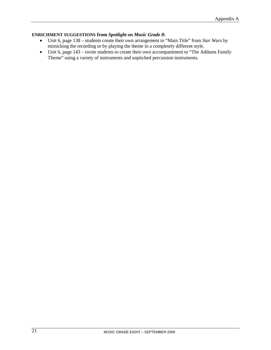#### **ENRICHMENT SUGGESTIONS from** *Spotlight on Music Grade 8***:**

- Unit 6, page 138 students create their own arrangement to "Main Title" from *Star Wars* by mimicking the recording or by playing the theme in a completely different style.
- Unit 6, page 143 invite students to create their own accompaniment to "The Addams Family" Theme" using a variety of instruments and unpitched percussion instruments.